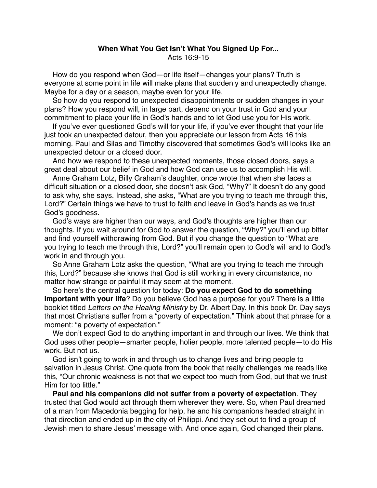## **When What You Get Isn't What You Signed Up For...** Acts 16:9-15

How do you respond when God—or life itself—changes your plans? Truth is everyone at some point in life will make plans that suddenly and unexpectedly change. Maybe for a day or a season, maybe even for your life.

So how do you respond to unexpected disappointments or sudden changes in your plans? How you respond will, in large part, depend on your trust in God and your commitment to place your life in God's hands and to let God use you for His work.

If you've ever questioned God's will for your life, if you've ever thought that your life just took an unexpected detour, then you appreciate our lesson from Acts 16 this morning. Paul and Silas and Timothy discovered that sometimes God's will looks like an unexpected detour or a closed door.

And how we respond to these unexpected moments, those closed doors, says a great deal about our belief in God and how God can use us to accomplish His will.

Anne Graham Lotz, Billy Graham's daughter, once wrote that when she faces a difficult situation or a closed door, she doesn't ask God, "Why?" It doesn't do any good to ask why, she says. Instead, she asks, "What are you trying to teach me through this, Lord?" Certain things we have to trust to faith and leave in God's hands as we trust God's goodness.

God's ways are higher than our ways, and God's thoughts are higher than our thoughts. If you wait around for God to answer the question, "Why?" you'll end up bitter and find yourself withdrawing from God. But if you change the question to "What are you trying to teach me through this, Lord?" you'll remain open to God's will and to God's work in and through you.

So Anne Graham Lotz asks the question, "What are you trying to teach me through this, Lord?" because she knows that God is still working in every circumstance, no matter how strange or painful it may seem at the moment.

So here's the central question for today: **Do you expect God to do something important with your life**? Do you believe God has a purpose for you? There is a little booklet titled *Letters on the Healing Ministry* by Dr. Albert Day. In this book Dr. Day says that most Christians suffer from a "poverty of expectation." Think about that phrase for a moment: "a poverty of expectation."

We don't expect God to do anything important in and through our lives. We think that God uses other people—smarter people, holier people, more talented people—to do His work. But not us.

God isn't going to work in and through us to change lives and bring people to salvation in Jesus Christ. One quote from the book that really challenges me reads like this, "Our chronic weakness is not that we expect too much from God, but that we trust Him for too little."

**Paul and his companions did not suffer from a poverty of expectation**. They trusted that God would act through them wherever they were. So, when Paul dreamed of a man from Macedonia begging for help, he and his companions headed straight in that direction and ended up in the city of Philippi. And they set out to find a group of Jewish men to share Jesus' message with. And once again, God changed their plans.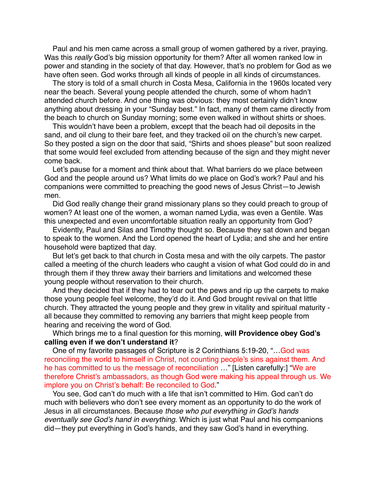Paul and his men came across a small group of women gathered by a river, praying. Was this *really* God's big mission opportunity for them? After all women ranked low in power and standing in the society of that day. However, that's no problem for God as we have often seen. God works through all kinds of people in all kinds of circumstances.

The story is told of a small church in Costa Mesa, California in the 1960s located very near the beach. Several young people attended the church, some of whom hadn't attended church before. And one thing was obvious: they most certainly didn't know anything about dressing in your "Sunday best." In fact, many of them came directly from the beach to church on Sunday morning; some even walked in without shirts or shoes.

This wouldn't have been a problem, except that the beach had oil deposits in the sand, and oil clung to their bare feet, and they tracked oil on the church's new carpet. So they posted a sign on the door that said, "Shirts and shoes please" but soon realized that some would feel excluded from attending because of the sign and they might never come back.

Let's pause for a moment and think about that. What barriers do we place between God and the people around us? What limits do we place on God's work? Paul and his companions were committed to preaching the good news of Jesus Christ—to Jewish men.

Did God really change their grand missionary plans so they could preach to group of women? At least one of the women, a woman named Lydia, was even a Gentile. Was this unexpected and even uncomfortable situation really an opportunity from God?

Evidently, Paul and Silas and Timothy thought so. Because they sat down and began to speak to the women. And the Lord opened the heart of Lydia; and she and her entire household were baptized that day.

But let's get back to that church in Costa mesa and with the oily carpets. The pastor called a meeting of the church leaders who caught a vision of what God could do in and through them if they threw away their barriers and limitations and welcomed these young people without reservation to their church.

And they decided that if they had to tear out the pews and rip up the carpets to make those young people feel welcome, they'd do it. And God brought revival on that little church. They attracted the young people and they grew in vitality and spiritual maturity all because they committed to removing any barriers that might keep people from hearing and receiving the word of God.

Which brings me to a final question for this morning, **will Providence obey God's calling even if we don't understand it**?

One of my favorite passages of Scripture is 2 Corinthians 5:19-20, "…God was reconciling the world to himself in Christ, not counting people's sins against them. And he has committed to us the message of reconciliation …" [Listen carefully:] "We are therefore Christ's ambassadors, as though God were making his appeal through us. We implore you on Christ's behalf: Be reconciled to God."

You see, God can't do much with a life that isn't committed to Him. God can't do much with believers who don't see every moment as an opportunity to do the work of Jesus in all circumstances. Because *those who put everything in God's hands eventually see God's hand in everything*. Which is just what Paul and his companions did—they put everything in God's hands, and they saw God's hand in everything.